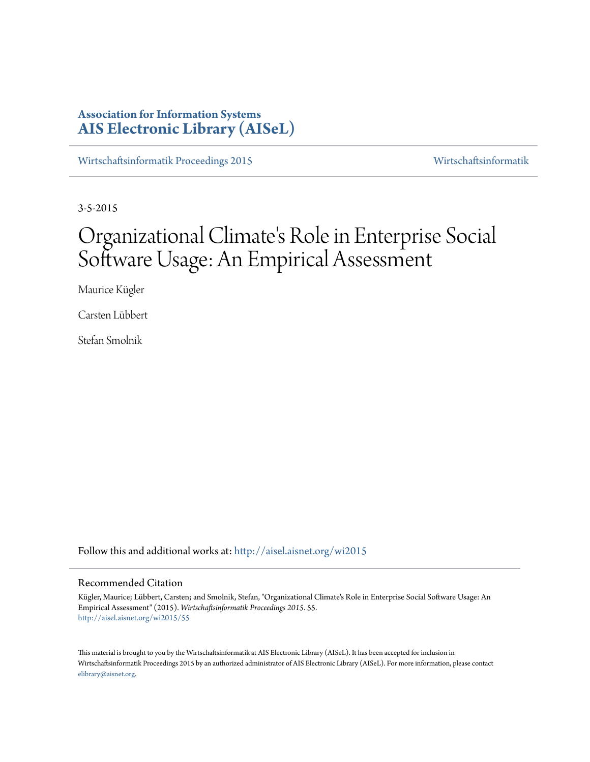# **Association for Information Systems [AIS Electronic Library \(AISeL\)](http://aisel.aisnet.org?utm_source=aisel.aisnet.org%2Fwi2015%2F55&utm_medium=PDF&utm_campaign=PDFCoverPages)**

[Wirtschaftsinformatik Proceedings 2015](http://aisel.aisnet.org/wi2015?utm_source=aisel.aisnet.org%2Fwi2015%2F55&utm_medium=PDF&utm_campaign=PDFCoverPages) [Wirtschaftsinformatik](http://aisel.aisnet.org/wi?utm_source=aisel.aisnet.org%2Fwi2015%2F55&utm_medium=PDF&utm_campaign=PDFCoverPages)

3-5-2015

# Organizational Climate 's Role in Enterprise Social Software Usage: An Empirical Assessment

Maurice Kügler

Carsten Lübbert

Stefan Smolnik

Follow this and additional works at: [http://aisel.aisnet.org/wi2015](http://aisel.aisnet.org/wi2015?utm_source=aisel.aisnet.org%2Fwi2015%2F55&utm_medium=PDF&utm_campaign=PDFCoverPages)

### Recommended Citation

Kügler, Maurice; Lübbert, Carsten; and Smolnik, Stefan, "Organizational Climate's Role in Enterprise Social Software Usage: An Empirical Assessment" (2015). *Wirtschaftsinformatik Proceedings 2015*. 55. [http://aisel.aisnet.org/wi2015/55](http://aisel.aisnet.org/wi2015/55?utm_source=aisel.aisnet.org%2Fwi2015%2F55&utm_medium=PDF&utm_campaign=PDFCoverPages)

This material is brought to you by the Wirtschaftsinformatik at AIS Electronic Library (AISeL). It has been accepted for inclusion in Wirtschaftsinformatik Proceedings 2015 by an authorized administrator of AIS Electronic Library (AISeL). For more information, please contact [elibrary@aisnet.org.](mailto:elibrary@aisnet.org%3E)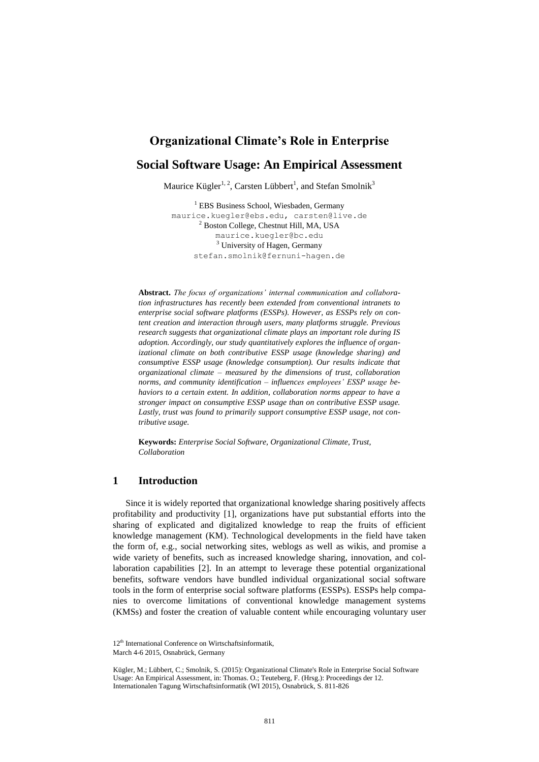# **Organizational Climate's Role in Enterprise**

# **Social Software Usage: An Empirical Assessment**

Maurice Kügler<sup>1, 2</sup>, Carsten Lübbert<sup>1</sup>, and Stefan Smolnik<sup>3</sup>

<sup>1</sup> EBS Business School, Wiesbaden, Germany [maurice.kuegler@ebs.edu,](mailto:maurice.kuegler@ebs.edu) carsten@live.de <sup>2</sup> Boston College, Chestnut Hill, MA, USA [maurice.kuegler@bc.edu](mailto:maurice.kuegler@bc.edu) <sup>3</sup> University of Hagen, Germany stefan.smolnik@fernuni-hagen.de

**Abstract.** *The focus of organizations' internal communication and collaboration infrastructures has recently been extended from conventional intranets to enterprise social software platforms (ESSPs). However, as ESSPs rely on content creation and interaction through users, many platforms struggle. Previous research suggests that organizational climate plays an important role during IS adoption. Accordingly, our study quantitatively explores the influence of organizational climate on both contributive ESSP usage (knowledge sharing) and consumptive ESSP usage (knowledge consumption). Our results indicate that organizational climate – measured by the dimensions of trust, collaboration norms, and community identification – influences employees' ESSP usage behaviors to a certain extent. In addition, collaboration norms appear to have a stronger impact on consumptive ESSP usage than on contributive ESSP usage. Lastly, trust was found to primarily support consumptive ESSP usage, not contributive usage.*

**Keywords:** *Enterprise Social Software, Organizational Climate, Trust, Collaboration*

## **1 Introduction**

Since it is widely reported that organizational knowledge sharing positively affects profitability and productivity [1], organizations have put substantial efforts into the sharing of explicated and digitalized knowledge to reap the fruits of efficient knowledge management (KM). Technological developments in the field have taken the form of, e.g., social networking sites, weblogs as well as wikis, and promise a wide variety of benefits, such as increased knowledge sharing, innovation, and collaboration capabilities [2]. In an attempt to leverage these potential organizational benefits, software vendors have bundled individual organizational social software tools in the form of enterprise social software platforms (ESSPs). ESSPs help companies to overcome limitations of conventional knowledge management systems (KMSs) and foster the creation of valuable content while encouraging voluntary user

<sup>12&</sup>lt;sup>th</sup> International Conference on Wirtschaftsinformatik, March 4-6 2015, Osnabrück, Germany

Kügler, M.; Lübbert, C.; Smolnik, S. (2015): Organizational Climate's Role in Enterprise Social Software Usage: An Empirical Assessment, in: Thomas. O.; Teuteberg, F. (Hrsg.): Proceedings der 12. Internationalen Tagung Wirtschaftsinformatik (WI 2015), Osnabrück, S. 811-826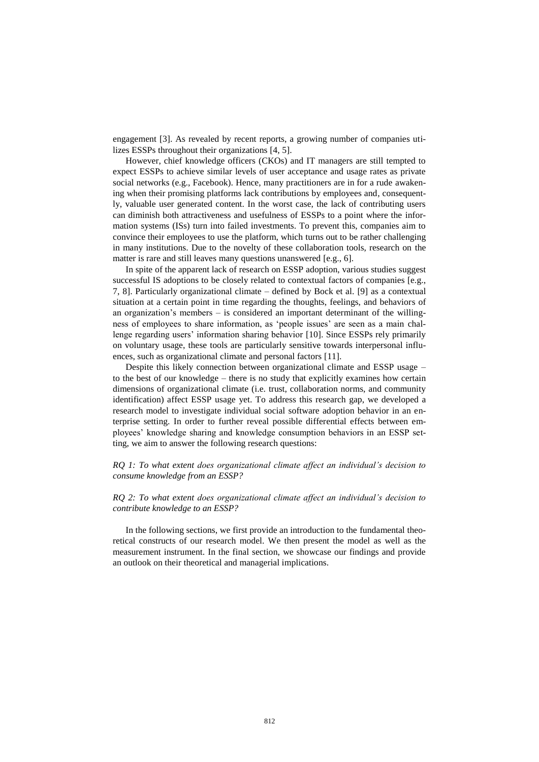engagement [3]. As revealed by recent reports, a growing number of companies utilizes ESSPs throughout their organizations [4, 5].

However, chief knowledge officers (CKOs) and IT managers are still tempted to expect ESSPs to achieve similar levels of user acceptance and usage rates as private social networks (e.g., Facebook). Hence, many practitioners are in for a rude awakening when their promising platforms lack contributions by employees and, consequently, valuable user generated content. In the worst case, the lack of contributing users can diminish both attractiveness and usefulness of ESSPs to a point where the information systems (ISs) turn into failed investments. To prevent this, companies aim to convince their employees to use the platform, which turns out to be rather challenging in many institutions. Due to the novelty of these collaboration tools, research on the matter is rare and still leaves many questions unanswered [e.g., 6].

In spite of the apparent lack of research on ESSP adoption, various studies suggest successful IS adoptions to be closely related to contextual factors of companies [e.g., 7, 8]. Particularly organizational climate – defined by Bock et al. [9] as a contextual situation at a certain point in time regarding the thoughts, feelings, and behaviors of an organization's members – is considered an important determinant of the willingness of employees to share information, as 'people issues' are seen as a main challenge regarding users' information sharing behavior [10]. Since ESSPs rely primarily on voluntary usage, these tools are particularly sensitive towards interpersonal influences, such as organizational climate and personal factors [11].

Despite this likely connection between organizational climate and ESSP usage – to the best of our knowledge – there is no study that explicitly examines how certain dimensions of organizational climate (i.e. trust, collaboration norms, and community identification) affect ESSP usage yet. To address this research gap, we developed a research model to investigate individual social software adoption behavior in an enterprise setting. In order to further reveal possible differential effects between employees' knowledge sharing and knowledge consumption behaviors in an ESSP setting, we aim to answer the following research questions:

#### *RQ 1: To what extent does organizational climate affect an individual's decision to consume knowledge from an ESSP?*

#### *RQ 2: To what extent does organizational climate affect an individual's decision to contribute knowledge to an ESSP?*

In the following sections, we first provide an introduction to the fundamental theoretical constructs of our research model. We then present the model as well as the measurement instrument. In the final section, we showcase our findings and provide an outlook on their theoretical and managerial implications.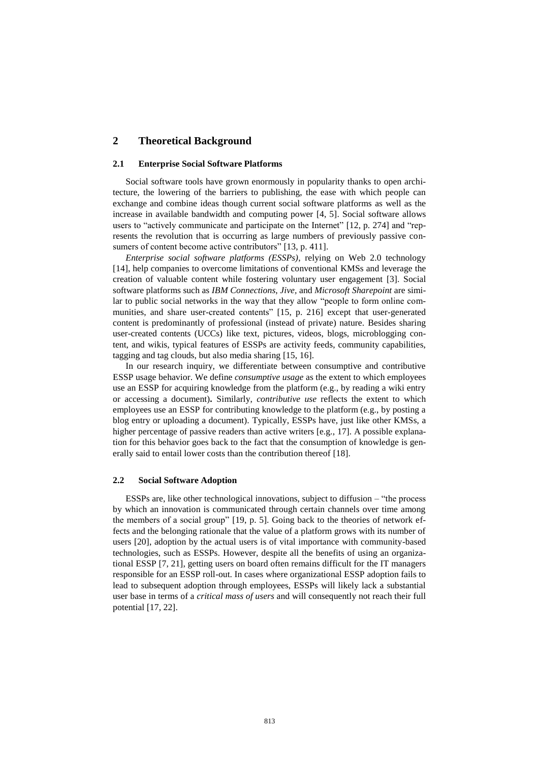## **2 Theoretical Background**

#### **2.1 Enterprise Social Software Platforms**

Social software tools have grown enormously in popularity thanks to open architecture, the lowering of the barriers to publishing, the ease with which people can exchange and combine ideas though current social software platforms as well as the increase in available bandwidth and computing power [4, 5]. Social software allows users to "actively communicate and participate on the Internet" [12, p. 274] and "represents the revolution that is occurring as large numbers of previously passive consumers of content become active contributors" [13, p. 411].

*Enterprise social software platforms (ESSPs)*, relying on Web 2.0 technology [14], help companies to overcome limitations of conventional KMSs and leverage the creation of valuable content while fostering voluntary user engagement [3]. Social software platforms such as *IBM Connections*, *Jive,* and *Microsoft Sharepoint* are similar to public social networks in the way that they allow "people to form online communities, and share user-created contents" [15, p. 216] except that user-generated content is predominantly of professional (instead of private) nature. Besides sharing user-created contents (UCCs) like text, pictures, videos, blogs, microblogging content, and wikis, typical features of ESSPs are activity feeds, community capabilities, tagging and tag clouds, but also media sharing [15, 16].

In our research inquiry, we differentiate between consumptive and contributive ESSP usage behavior. We define *consumptive usage* as the extent to which employees use an ESSP for acquiring knowledge from the platform (e.g., by reading a wiki entry or accessing a document)**.** Similarly, *contributive use* reflects the extent to which employees use an ESSP for contributing knowledge to the platform (e.g., by posting a blog entry or uploading a document). Typically, ESSPs have, just like other KMSs, a higher percentage of passive readers than active writers [e.g., 17]. A possible explanation for this behavior goes back to the fact that the consumption of knowledge is generally said to entail lower costs than the contribution thereof [18].

#### **2.2 Social Software Adoption**

ESSPs are, like other technological innovations, subject to diffusion – "the process by which an innovation is communicated through certain channels over time among the members of a social group" [19, p. 5]. Going back to the theories of network effects and the belonging rationale that the value of a platform grows with its number of users [20], adoption by the actual users is of vital importance with community-based technologies, such as ESSPs. However, despite all the benefits of using an organizational ESSP [7, 21], getting users on board often remains difficult for the IT managers responsible for an ESSP roll-out. In cases where organizational ESSP adoption fails to lead to subsequent adoption through employees, ESSPs will likely lack a substantial user base in terms of a *critical mass of users* and will consequently not reach their full potential [17, 22].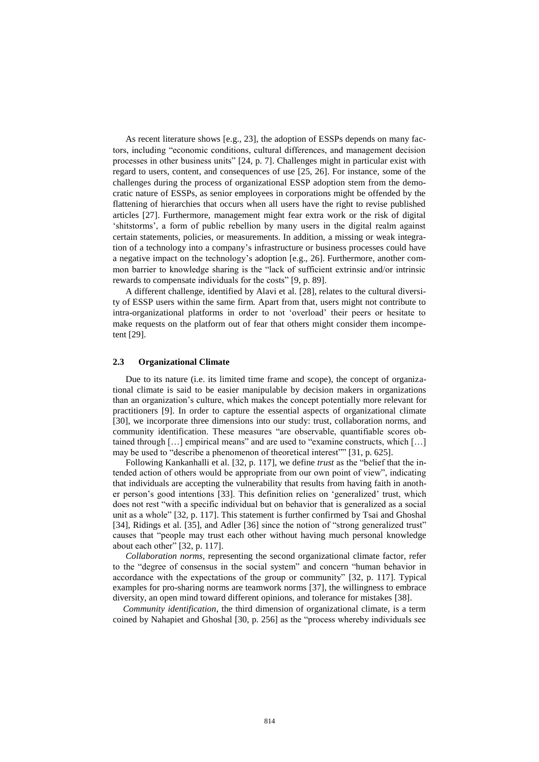As recent literature shows [e.g., 23], the adoption of ESSPs depends on many factors, including "economic conditions, cultural differences, and management decision processes in other business units" [24, p. 7]. Challenges might in particular exist with regard to users, content, and consequences of use [25, 26]. For instance, some of the challenges during the process of organizational ESSP adoption stem from the democratic nature of ESSPs, as senior employees in corporations might be offended by the flattening of hierarchies that occurs when all users have the right to revise published articles [27]. Furthermore, management might fear extra work or the risk of digital 'shitstorms', a form of public rebellion by many users in the digital realm against certain statements, policies, or measurements. In addition, a missing or weak integration of a technology into a company's infrastructure or business processes could have a negative impact on the technology's adoption [e.g., 26]. Furthermore, another common barrier to knowledge sharing is the "lack of sufficient extrinsic and/or intrinsic rewards to compensate individuals for the costs" [9, p. 89].

A different challenge, identified by Alavi et al. [28], relates to the cultural diversity of ESSP users within the same firm. Apart from that, users might not contribute to intra-organizational platforms in order to not 'overload' their peers or hesitate to make requests on the platform out of fear that others might consider them incompetent [29].

#### **2.3 Organizational Climate**

Due to its nature (i.e. its limited time frame and scope), the concept of organizational climate is said to be easier manipulable by decision makers in organizations than an organization's culture, which makes the concept potentially more relevant for practitioners [9]. In order to capture the essential aspects of organizational climate [30], we incorporate three dimensions into our study: trust, collaboration norms, and community identification. These measures "are observable, quantifiable scores obtained through […] empirical means" and are used to "examine constructs, which […] may be used to "describe a phenomenon of theoretical interest"" [31, p. 625].

Following Kankanhalli et al. [32, p. 117], we define *trust* as the "belief that the intended action of others would be appropriate from our own point of view", indicating that individuals are accepting the vulnerability that results from having faith in another person's good intentions [33]. This definition relies on 'generalized' trust, which does not rest "with a specific individual but on behavior that is generalized as a social unit as a whole" [32, p. 117]. This statement is further confirmed by Tsai and Ghoshal [34], Ridings et al. [35], and Adler [36] since the notion of "strong generalized trust" causes that "people may trust each other without having much personal knowledge about each other" [32, p. 117].

*Collaboration norms,* representing the second organizational climate factor, refer to the "degree of consensus in the social system" and concern "human behavior in accordance with the expectations of the group or community" [32, p. 117]. Typical examples for pro-sharing norms are teamwork norms [37], the willingness to embrace diversity, an open mind toward different opinions, and tolerance for mistakes [38].

*Community identification*, the third dimension of organizational climate, is a term coined by Nahapiet and Ghoshal [30, p. 256] as the "process whereby individuals see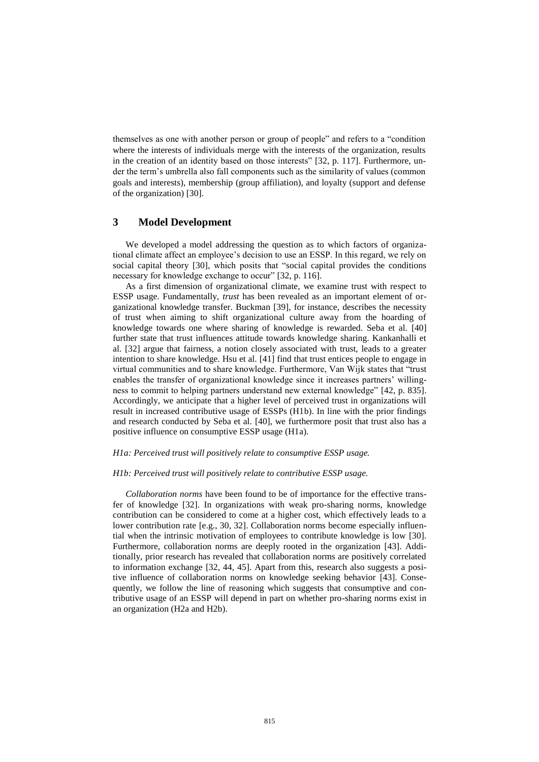themselves as one with another person or group of people" and refers to a "condition where the interests of individuals merge with the interests of the organization, results in the creation of an identity based on those interests" [32, p. 117]. Furthermore, under the term's umbrella also fall components such as the similarity of values (common goals and interests), membership (group affiliation), and loyalty (support and defense of the organization) [30].

## **3 Model Development**

We developed a model addressing the question as to which factors of organizational climate affect an employee's decision to use an ESSP. In this regard, we rely on social capital theory [30], which posits that "social capital provides the conditions necessary for knowledge exchange to occur" [32, p. 116].

As a first dimension of organizational climate, we examine trust with respect to ESSP usage. Fundamentally, *trust* has been revealed as an important element of organizational knowledge transfer. Buckman [39], for instance, describes the necessity of trust when aiming to shift organizational culture away from the hoarding of knowledge towards one where sharing of knowledge is rewarded. Seba et al. [40] further state that trust influences attitude towards knowledge sharing. Kankanhalli et al. [32] argue that fairness, a notion closely associated with trust, leads to a greater intention to share knowledge. Hsu et al. [41] find that trust entices people to engage in virtual communities and to share knowledge. Furthermore, Van Wijk states that "trust enables the transfer of organizational knowledge since it increases partners' willingness to commit to helping partners understand new external knowledge" [42, p. 835]. Accordingly, we anticipate that a higher level of perceived trust in organizations will result in increased contributive usage of ESSPs (H1b). In line with the prior findings and research conducted by Seba et al. [40], we furthermore posit that trust also has a positive influence on consumptive ESSP usage (H1a).

#### *H1a: Perceived trust will positively relate to consumptive ESSP usage.*

#### *H1b: Perceived trust will positively relate to contributive ESSP usage.*

*Collaboration norms* have been found to be of importance for the effective transfer of knowledge [32]. In organizations with weak pro-sharing norms, knowledge contribution can be considered to come at a higher cost, which effectively leads to a lower contribution rate [e.g., 30, 32]. Collaboration norms become especially influential when the intrinsic motivation of employees to contribute knowledge is low [30]. Furthermore, collaboration norms are deeply rooted in the organization [43]. Additionally, prior research has revealed that collaboration norms are positively correlated to information exchange [32, 44, 45]. Apart from this, research also suggests a positive influence of collaboration norms on knowledge seeking behavior [43]. Consequently, we follow the line of reasoning which suggests that consumptive and contributive usage of an ESSP will depend in part on whether pro-sharing norms exist in an organization (H2a and H2b).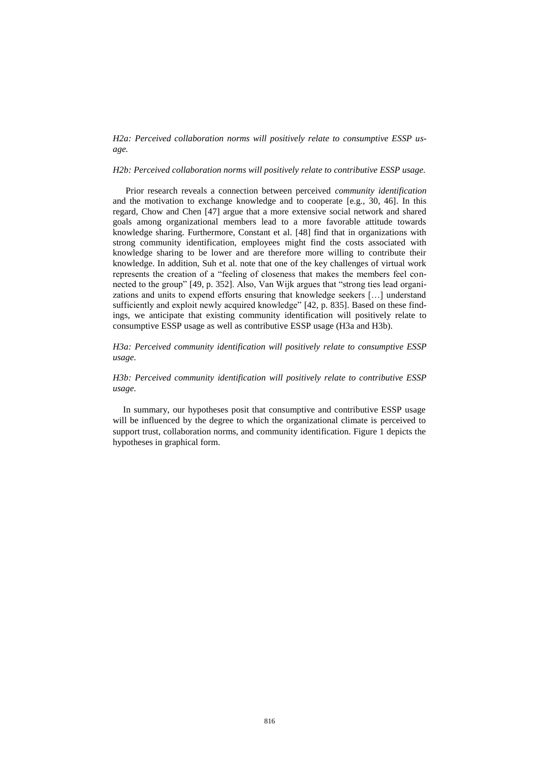#### *H2a: Perceived collaboration norms will positively relate to consumptive ESSP usage.*

#### *H2b: Perceived collaboration norms will positively relate to contributive ESSP usage.*

Prior research reveals a connection between perceived *community identification* and the motivation to exchange knowledge and to cooperate [e.g., 30, 46]. In this regard, Chow and Chen [47] argue that a more extensive social network and shared goals among organizational members lead to a more favorable attitude towards knowledge sharing. Furthermore, Constant et al. [48] find that in organizations with strong community identification, employees might find the costs associated with knowledge sharing to be lower and are therefore more willing to contribute their knowledge. In addition, Suh et al. note that one of the key challenges of virtual work represents the creation of a "feeling of closeness that makes the members feel connected to the group" [49, p. 352]. Also, Van Wijk argues that "strong ties lead organizations and units to expend efforts ensuring that knowledge seekers […] understand sufficiently and exploit newly acquired knowledge" [42, p. 835]. Based on these findings, we anticipate that existing community identification will positively relate to consumptive ESSP usage as well as contributive ESSP usage (H3a and H3b).

#### *H3a: Perceived community identification will positively relate to consumptive ESSP usage.*

### *H3b: Perceived community identification will positively relate to contributive ESSP usage.*

In summary, our hypotheses posit that consumptive and contributive ESSP usage will be influenced by the degree to which the organizational climate is perceived to support trust, collaboration norms, and community identification. Figure 1 depicts the hypotheses in graphical form.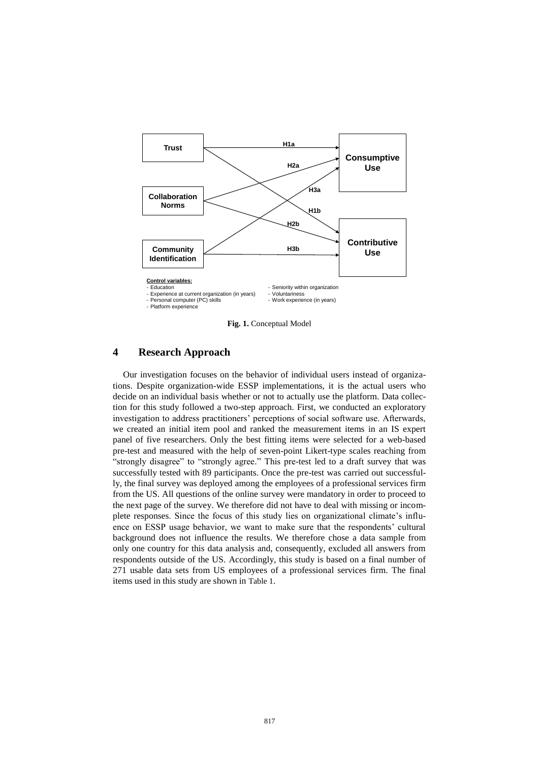

**Fig. 1.** Conceptual Model

## **4 Research Approach**

Our investigation focuses on the behavior of individual users instead of organizations. Despite organization-wide ESSP implementations, it is the actual users who decide on an individual basis whether or not to actually use the platform. Data collection for this study followed a two-step approach. First, we conducted an exploratory investigation to address practitioners' perceptions of social software use. Afterwards, we created an initial item pool and ranked the measurement items in an IS expert panel of five researchers. Only the best fitting items were selected for a web-based pre-test and measured with the help of seven-point Likert-type scales reaching from "strongly disagree" to "strongly agree." This pre-test led to a draft survey that was successfully tested with 89 participants. Once the pre-test was carried out successfully, the final survey was deployed among the employees of a professional services firm from the US. All questions of the online survey were mandatory in order to proceed to the next page of the survey. We therefore did not have to deal with missing or incomplete responses. Since the focus of this study lies on organizational climate's influence on ESSP usage behavior, we want to make sure that the respondents' cultural background does not influence the results. We therefore chose a data sample from only one country for this data analysis and, consequently, excluded all answers from respondents outside of the US. Accordingly, this study is based on a final number of 271 usable data sets from US employees of a professional services firm. The final items used in this study are shown in [Table 1](#page-8-0).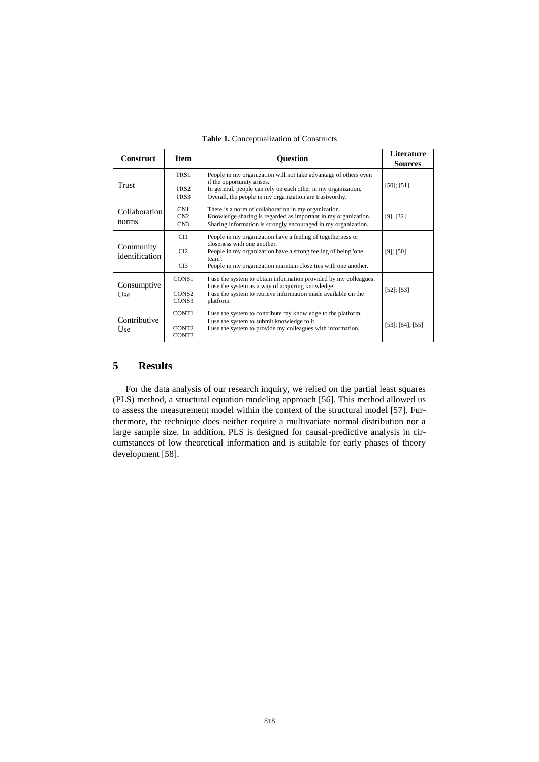<span id="page-8-0"></span>

| <b>Construct</b>              | <b>Item</b>                         | <b>Ouestion</b>                                                                                                                                                                                                                          | Literature<br><b>Sources</b> |
|-------------------------------|-------------------------------------|------------------------------------------------------------------------------------------------------------------------------------------------------------------------------------------------------------------------------------------|------------------------------|
| Trust                         | TRS1<br>TRS <sub>2</sub><br>TRS3    | People in my organization will not take advantage of others even<br>if the opportunity arises.<br>In general, people can rely on each other in my organization.<br>Overall, the people in my organization are trustworthy.               | $[50]$ ; [51]                |
| <b>Collaboration</b><br>norms | CN1<br>CN2<br>CN3                   | There is a norm of collaboration in my organization.<br>Knowledge sharing is regarded as important in my organization.<br>Sharing information is strongly encouraged in my organization.                                                 | $[9]$ , $[32]$               |
| Community<br>identification   | CI1<br>CI2<br>CI3                   | People in my organization have a feeling of togetherness or<br>closeness with one another.<br>People in my organization have a strong feeling of being 'one<br>team'.<br>People in my organization maintain close ties with one another. | $[9]$ ; $[50]$               |
| Consumptive<br>Use            | CONS1<br>CONS <sub>2</sub><br>CONS3 | I use the system to obtain information provided by my colleagues.<br>I use the system as a way of acquiring knowledge.<br>I use the system to retrieve information made available on the<br>platform.                                    | $[52]$ ; [53]                |
| Contributive<br>Use           | CONT1<br>CONT <sub>2</sub><br>CONT3 | I use the system to contribute my knowledge to the platform.<br>I use the system to submit knowledge to it.<br>I use the system to provide my colleagues with information.                                                               | $[53]$ ; $[54]$ ; $[55]$     |

**Table 1.** Conceptualization of Constructs

## **5 Results**

For the data analysis of our research inquiry, we relied on the partial least squares (PLS) method, a structural equation modeling approach [56]. This method allowed us to assess the measurement model within the context of the structural model [57]. Furthermore, the technique does neither require a multivariate normal distribution nor a large sample size. In addition, PLS is designed for causal-predictive analysis in circumstances of low theoretical information and is suitable for early phases of theory development [58].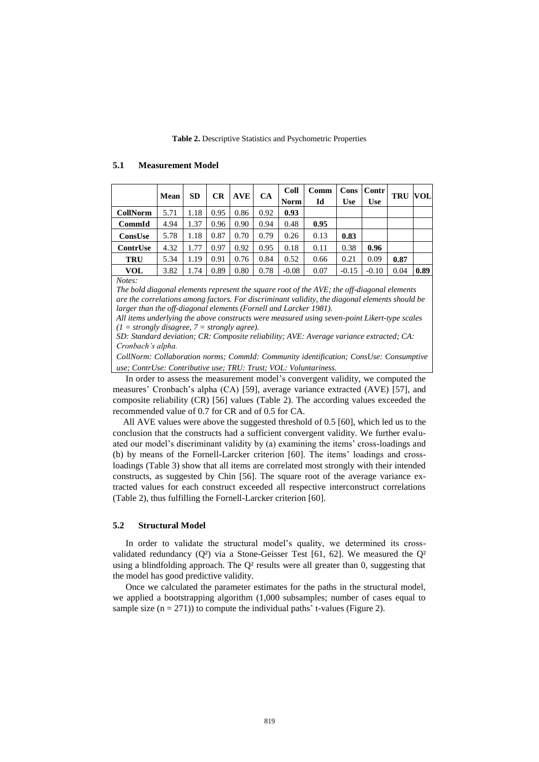#### **Table 2.** Descriptive Statistics and Psychometric Properties

#### **Mean SD CR**  $\begin{bmatrix} \overline{C} \\ \overline{C} \end{bmatrix}$  **CA**  $\begin{bmatrix} \overline{C} \\ \overline{C} \end{bmatrix}$ **Norm Comm Id Cons Use Contr Use TRU VOL CollNorm** 5.71 1.18 0.95 0.86 0.92 **0.93 CommId** 4.94 1.37 0.96 0.90 0.94 0.48 **0.95 ConsUse** 5.78 1.18 0.87 0.70 0.79 0.26 0.13 **0.83 ContrUse** 4.32 1.77 0.97 0.92 0.95 0.18 0.11 0.38 **0.96 TRU** 5.34 1.19 0.91 0.76 0.84 0.52 0.66 0.21 0.09 **0.87 VOL**  $\begin{bmatrix} 3.82 & 1.74 & 0.89 & 0.80 & 0.78 & -0.08 & 0.07 & -0.15 & -0.10 & 0.04 & 0.89 \end{bmatrix}$

#### **5.1 Measurement Model**

*Notes:* 

*The bold diagonal elements represent the square root of the AVE; the off-diagonal elements are the correlations among factors. For discriminant validity, the diagonal elements should be larger than the off-diagonal elements (Fornell and Larcker 1981).*

*All items underlying the above constructs were measured using seven-point Likert-type scales (1 = strongly disagree, 7 = strongly agree).*

*SD: Standard deviation; CR: Composite reliability; AVE: Average variance extracted; CA: Cronbach's alpha.*

*CollNorm: Collaboration norms; CommId: Community identification; ConsUse: Consumptive use; ContrUse: Contributive use; TRU: Trust; VOL: Voluntariness.*

In order to assess the measurement model's convergent validity, we computed the measures' Cronbach's alpha (CA) [59], average variance extracted (AVE) [57], and composite reliability (CR) [56] values (Table 2). The according values exceeded the recommended value of 0.7 for CR and of 0.5 for CA.

All AVE values were above the suggested threshold of 0.5 [60], which led us to the conclusion that the constructs had a sufficient convergent validity. We further evaluated our model's discriminant validity by (a) examining the items' cross-loadings and (b) by means of the Fornell-Larcker criterion [60]. The items' loadings and crossloadings (Table 3) show that all items are correlated most strongly with their intended constructs, as suggested by Chin [56]. The square root of the average variance extracted values for each construct exceeded all respective interconstruct correlations (Table 2), thus fulfilling the Fornell-Larcker criterion [60].

#### **5.2 Structural Model**

In order to validate the structural model's quality, we determined its crossvalidated redundancy  $(Q^2)$  via a Stone-Geisser Test [61, 62]. We measured the  $Q^2$ using a blindfolding approach. The  $Q<sup>2</sup>$  results were all greater than 0, suggesting that the model has good predictive validity.

Once we calculated the parameter estimates for the paths in the structural model, we applied a bootstrapping algorithm (1,000 subsamples; number of cases equal to sample size  $(n = 271)$  to compute the individual paths' t-values (Figure 2).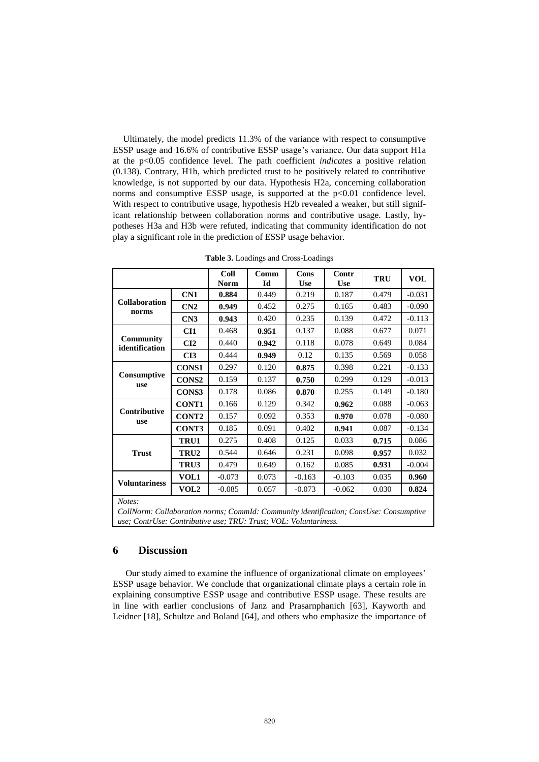Ultimately, the model predicts 11.3% of the variance with respect to consumptive ESSP usage and 16.6% of contributive ESSP usage's variance. Our data support H1a at the p<0.05 confidence level. The path coefficient *indicates* a positive relation (0.138). Contrary, H1b, which predicted trust to be positively related to contributive knowledge, is not supported by our data. Hypothesis H2a, concerning collaboration norms and consumptive ESSP usage, is supported at the  $p<0.01$  confidence level. With respect to contributive usage, hypothesis H2b revealed a weaker, but still significant relationship between collaboration norms and contributive usage. Lastly, hypotheses H3a and H3b were refuted, indicating that community identification do not play a significant role in the prediction of ESSP usage behavior.

|                                                                                                                                                                     |              | Coll<br><b>Norm</b> | Comm<br>Id | Cons<br><b>Use</b> | Contr<br><b>Use</b> | <b>TRU</b> | <b>VOL</b> |  |  |
|---------------------------------------------------------------------------------------------------------------------------------------------------------------------|--------------|---------------------|------------|--------------------|---------------------|------------|------------|--|--|
| <b>Collaboration</b><br>norms                                                                                                                                       | CN1          | 0.884               | 0.449      | 0.219              | 0.187               | 0.479      | $-0.031$   |  |  |
|                                                                                                                                                                     | CN2          | 0.949               | 0.452      | 0.275              | 0.165               | 0.483      | $-0.090$   |  |  |
|                                                                                                                                                                     | CN3          | 0.943               | 0.420      | 0.235              | 0.139               | 0.472      | $-0.113$   |  |  |
| Community<br>identification                                                                                                                                         | CI1          | 0.468               | 0.951      | 0.137              | 0.088               | 0.677      | 0.071      |  |  |
|                                                                                                                                                                     | CI2          | 0.440               | 0.942      | 0.118              | 0.078               | 0.649      | 0.084      |  |  |
|                                                                                                                                                                     | CI3          | 0.444               | 0.949      | 0.12               | 0.135               | 0.569      | 0.058      |  |  |
|                                                                                                                                                                     | <b>CONS1</b> | 0.297               | 0.120      | 0.875              | 0.398               | 0.221      | $-0.133$   |  |  |
| Consumptive<br>use                                                                                                                                                  | <b>CONS2</b> | 0.159               | 0.137      | 0.750              | 0.299               | 0.129      | $-0.013$   |  |  |
|                                                                                                                                                                     | CONS3        | 0.178               | 0.086      | 0.870              | 0.255               | 0.149      | $-0.180$   |  |  |
|                                                                                                                                                                     | <b>CONT1</b> | 0.166               | 0.129      | 0.342              | 0.962               | 0.088      | $-0.063$   |  |  |
| Contributive<br>use                                                                                                                                                 | <b>CONT2</b> | 0.157               | 0.092      | 0.353              | 0.970               | 0.078      | $-0.080$   |  |  |
|                                                                                                                                                                     | CONT3        | 0.185               | 0.091      | 0.402              | 0.941               | 0.087      | $-0.134$   |  |  |
| <b>Trust</b>                                                                                                                                                        | TRU1         | 0.275               | 0.408      | 0.125              | 0.033               | 0.715      | 0.086      |  |  |
|                                                                                                                                                                     | TRU2         | 0.544               | 0.646      | 0.231              | 0.098               | 0.957      | 0.032      |  |  |
|                                                                                                                                                                     | TRU3         | 0.479               | 0.649      | 0.162              | 0.085               | 0.931      | $-0.004$   |  |  |
| <b>Voluntariness</b>                                                                                                                                                | VOL1         | $-0.073$            | 0.073      | $-0.163$           | $-0.103$            | 0.035      | 0.960      |  |  |
|                                                                                                                                                                     | <b>VOL2</b>  | $-0.085$            | 0.057      | $-0.073$           | $-0.062$            | 0.030      | 0.824      |  |  |
| Notes:<br>CollNorm: Collaboration norms; CommId: Community identification; ConsUse: Consumptive<br>use; ContrUse: Contributive use; TRU: Trust; VOL: Voluntariness. |              |                     |            |                    |                     |            |            |  |  |

**Table 3.** Loadings and Cross-Loadings

#### **6 Discussion**

Our study aimed to examine the influence of organizational climate on employees' ESSP usage behavior. We conclude that organizational climate plays a certain role in explaining consumptive ESSP usage and contributive ESSP usage. These results are in line with earlier conclusions of Janz and Prasarnphanich [63], Kayworth and Leidner [18], Schultze and Boland [64], and others who emphasize the importance of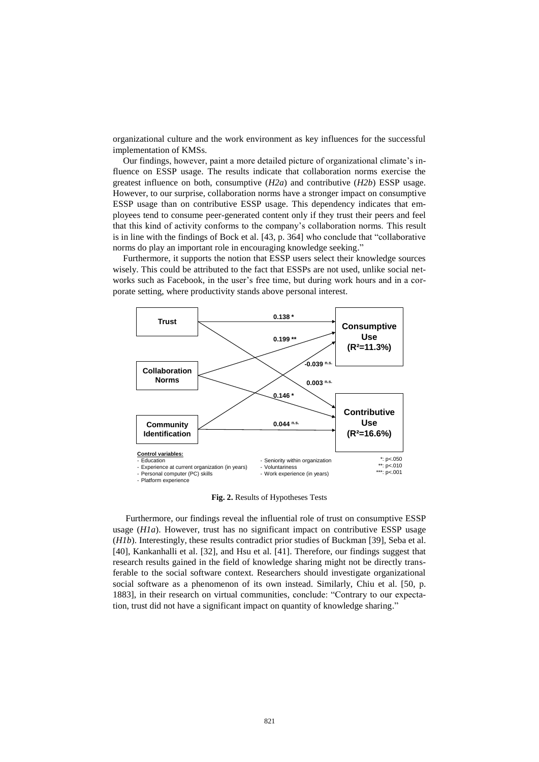organizational culture and the work environment as key influences for the successful implementation of KMSs.

Our findings, however, paint a more detailed picture of organizational climate's influence on ESSP usage. The results indicate that collaboration norms exercise the greatest influence on both, consumptive (*H2a*) and contributive (*H2b*) ESSP usage. However, to our surprise, collaboration norms have a stronger impact on consumptive ESSP usage than on contributive ESSP usage. This dependency indicates that employees tend to consume peer-generated content only if they trust their peers and feel that this kind of activity conforms to the company's collaboration norms. This result is in line with the findings of Bock et al. [43, p. 364] who conclude that "collaborative norms do play an important role in encouraging knowledge seeking."

Furthermore, it supports the notion that ESSP users select their knowledge sources wisely. This could be attributed to the fact that ESSPs are not used, unlike social networks such as Facebook, in the user's free time, but during work hours and in a corporate setting, where productivity stands above personal interest.



**Fig. 2.** Results of Hypotheses Tests

Furthermore, our findings reveal the influential role of trust on consumptive ESSP usage (*H1a*). However, trust has no significant impact on contributive ESSP usage (*H1b*). Interestingly, these results contradict prior studies of Buckman [39], Seba et al. [40], Kankanhalli et al. [32], and Hsu et al. [41]. Therefore, our findings suggest that research results gained in the field of knowledge sharing might not be directly transferable to the social software context. Researchers should investigate organizational social software as a phenomenon of its own instead. Similarly, Chiu et al. [50, p. 1883], in their research on virtual communities, conclude: "Contrary to our expectation, trust did not have a significant impact on quantity of knowledge sharing."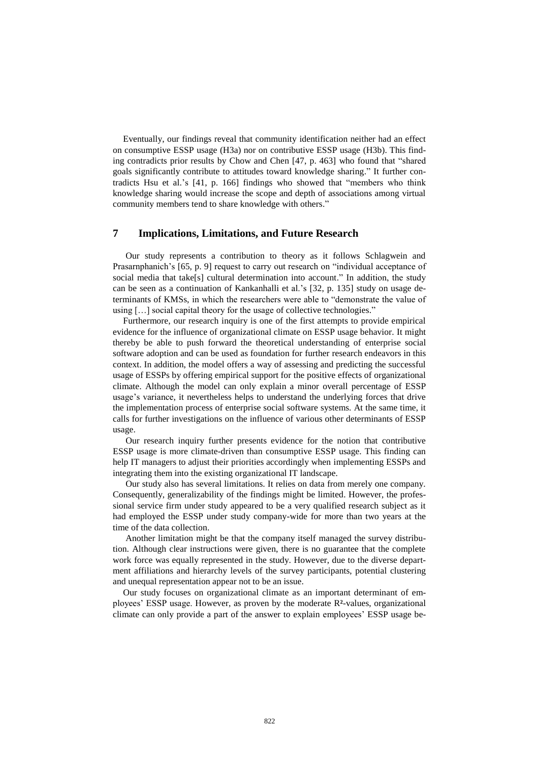Eventually, our findings reveal that community identification neither had an effect on consumptive ESSP usage (H3a) nor on contributive ESSP usage (H3b). This finding contradicts prior results by Chow and Chen [47, p. 463] who found that "shared goals significantly contribute to attitudes toward knowledge sharing." It further contradicts Hsu et al.'s [41, p. 166] findings who showed that "members who think knowledge sharing would increase the scope and depth of associations among virtual community members tend to share knowledge with others."

## **7 Implications, Limitations, and Future Research**

Our study represents a contribution to theory as it follows Schlagwein and Prasarnphanich's [65, p. 9] request to carry out research on "individual acceptance of social media that take[s] cultural determination into account." In addition, the study can be seen as a continuation of Kankanhalli et al.'s [32, p. 135] study on usage determinants of KMSs, in which the researchers were able to "demonstrate the value of using […] social capital theory for the usage of collective technologies."

Furthermore, our research inquiry is one of the first attempts to provide empirical evidence for the influence of organizational climate on ESSP usage behavior. It might thereby be able to push forward the theoretical understanding of enterprise social software adoption and can be used as foundation for further research endeavors in this context. In addition, the model offers a way of assessing and predicting the successful usage of ESSPs by offering empirical support for the positive effects of organizational climate. Although the model can only explain a minor overall percentage of ESSP usage's variance, it nevertheless helps to understand the underlying forces that drive the implementation process of enterprise social software systems. At the same time, it calls for further investigations on the influence of various other determinants of ESSP usage.

Our research inquiry further presents evidence for the notion that contributive ESSP usage is more climate-driven than consumptive ESSP usage. This finding can help IT managers to adjust their priorities accordingly when implementing ESSPs and integrating them into the existing organizational IT landscape.

Our study also has several limitations. It relies on data from merely one company. Consequently, generalizability of the findings might be limited. However, the professional service firm under study appeared to be a very qualified research subject as it had employed the ESSP under study company-wide for more than two years at the time of the data collection.

Another limitation might be that the company itself managed the survey distribution. Although clear instructions were given, there is no guarantee that the complete work force was equally represented in the study. However, due to the diverse department affiliations and hierarchy levels of the survey participants, potential clustering and unequal representation appear not to be an issue.

Our study focuses on organizational climate as an important determinant of employees' ESSP usage. However, as proven by the moderate R**²**-values, organizational climate can only provide a part of the answer to explain employees' ESSP usage be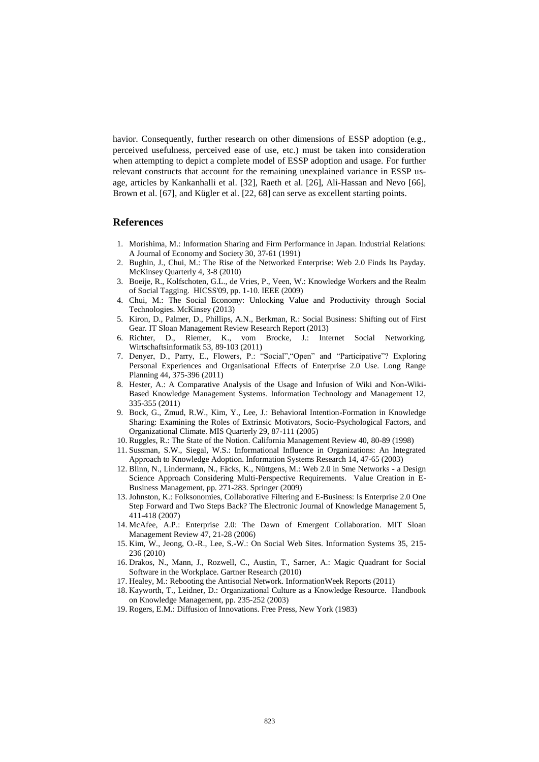havior. Consequently, further research on other dimensions of ESSP adoption (e.g., perceived usefulness, perceived ease of use, etc.) must be taken into consideration when attempting to depict a complete model of ESSP adoption and usage. For further relevant constructs that account for the remaining unexplained variance in ESSP usage, articles by Kankanhalli et al. [32], Raeth et al. [26], Ali-Hassan and Nevo [66], Brown et al. [67], and Kügler et al. [22, 68] can serve as excellent starting points.

#### **References**

- 1. Morishima, M.: Information Sharing and Firm Performance in Japan. Industrial Relations: A Journal of Economy and Society 30, 37-61 (1991)
- 2. Bughin, J., Chui, M.: The Rise of the Networked Enterprise: Web 2.0 Finds Its Payday. McKinsey Quarterly 4, 3-8 (2010)
- 3. Boeije, R., Kolfschoten, G.L., de Vries, P., Veen, W.: Knowledge Workers and the Realm of Social Tagging. HICSS'09, pp. 1-10. IEEE (2009)
- 4. Chui, M.: The Social Economy: Unlocking Value and Productivity through Social Technologies. McKinsey (2013)
- 5. Kiron, D., Palmer, D., Phillips, A.N., Berkman, R.: Social Business: Shifting out of First Gear. IT Sloan Management Review Research Report (2013)
- 6. Richter, D., Riemer, K., vom Brocke, J.: Internet Social Networking. Wirtschaftsinformatik 53, 89-103 (2011)
- 7. Denyer, D., Parry, E., Flowers, P.: "Social","Open" and "Participative"? Exploring Personal Experiences and Organisational Effects of Enterprise 2.0 Use. Long Range Planning 44, 375-396 (2011)
- 8. Hester, A.: A Comparative Analysis of the Usage and Infusion of Wiki and Non-Wiki-Based Knowledge Management Systems. Information Technology and Management 12, 335-355 (2011)
- 9. Bock, G., Zmud, R.W., Kim, Y., Lee, J.: Behavioral Intention-Formation in Knowledge Sharing: Examining the Roles of Extrinsic Motivators, Socio-Psychological Factors, and Organizational Climate. MIS Quarterly 29, 87-111 (2005)
- 10. Ruggles, R.: The State of the Notion. California Management Review 40, 80-89 (1998)
- 11. Sussman, S.W., Siegal, W.S.: Informational Influence in Organizations: An Integrated Approach to Knowledge Adoption. Information Systems Research 14, 47-65 (2003)
- 12. Blinn, N., Lindermann, N., Fäcks, K., Nüttgens, M.: Web 2.0 in Sme Networks a Design Science Approach Considering Multi-Perspective Requirements. Value Creation in E-Business Management, pp. 271-283. Springer (2009)
- 13. Johnston, K.: Folksonomies, Collaborative Filtering and E-Business: Is Enterprise 2.0 One Step Forward and Two Steps Back? The Electronic Journal of Knowledge Management 5, 411-418 (2007)
- 14. McAfee, A.P.: Enterprise 2.0: The Dawn of Emergent Collaboration. MIT Sloan Management Review 47, 21-28 (2006)
- 15. Kim, W., Jeong, O.-R., Lee, S.-W.: On Social Web Sites. Information Systems 35, 215- 236 (2010)
- 16. Drakos, N., Mann, J., Rozwell, C., Austin, T., Sarner, A.: Magic Quadrant for Social Software in the Workplace. Gartner Research (2010)
- 17. Healey, M.: Rebooting the Antisocial Network. InformationWeek Reports (2011)
- 18. Kayworth, T., Leidner, D.: Organizational Culture as a Knowledge Resource. Handbook on Knowledge Management, pp. 235-252 (2003)
- 19. Rogers, E.M.: Diffusion of Innovations. Free Press, New York (1983)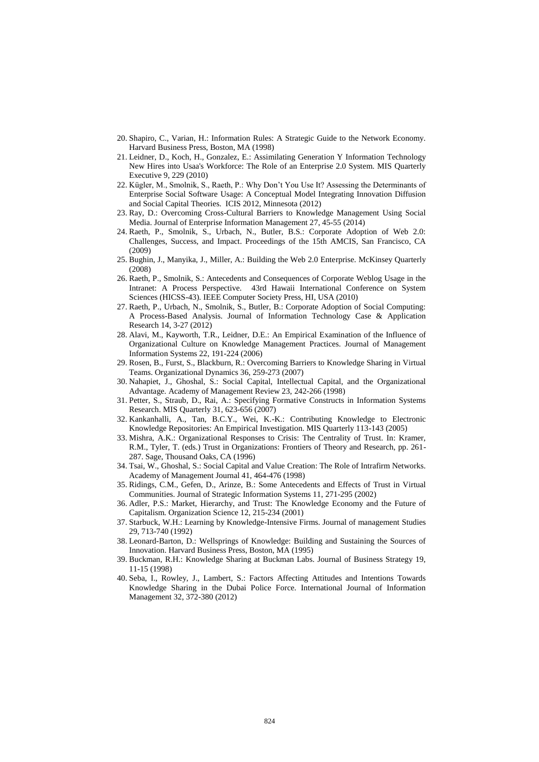- 20. Shapiro, C., Varian, H.: Information Rules: A Strategic Guide to the Network Economy. Harvard Business Press, Boston, MA (1998)
- 21. Leidner, D., Koch, H., Gonzalez, E.: Assimilating Generation Y Information Technology New Hires into Usaa's Workforce: The Role of an Enterprise 2.0 System. MIS Quarterly Executive 9, 229 (2010)
- 22. Kügler, M., Smolnik, S., Raeth, P.: Why Don't You Use It? Assessing the Determinants of Enterprise Social Software Usage: A Conceptual Model Integrating Innovation Diffusion and Social Capital Theories. ICIS 2012, Minnesota (2012)
- 23. Ray, D.: Overcoming Cross-Cultural Barriers to Knowledge Management Using Social Media. Journal of Enterprise Information Management 27, 45-55 (2014)
- 24. Raeth, P., Smolnik, S., Urbach, N., Butler, B.S.: Corporate Adoption of Web 2.0: Challenges, Success, and Impact. Proceedings of the 15th AMCIS, San Francisco, CA (2009)
- 25. Bughin, J., Manyika, J., Miller, A.: Building the Web 2.0 Enterprise. McKinsey Quarterly (2008)
- 26. Raeth, P., Smolnik, S.: Antecedents and Consequences of Corporate Weblog Usage in the Intranet: A Process Perspective. 43rd Hawaii International Conference on System Sciences (HICSS-43). IEEE Computer Society Press, HI, USA (2010)
- 27. Raeth, P., Urbach, N., Smolnik, S., Butler, B.: Corporate Adoption of Social Computing: A Process-Based Analysis. Journal of Information Technology Case & Application Research 14, 3-27 (2012)
- 28. Alavi, M., Kayworth, T.R., Leidner, D.E.: An Empirical Examination of the Influence of Organizational Culture on Knowledge Management Practices. Journal of Management Information Systems 22, 191-224 (2006)
- 29. Rosen, B., Furst, S., Blackburn, R.: Overcoming Barriers to Knowledge Sharing in Virtual Teams. Organizational Dynamics 36, 259-273 (2007)
- 30. Nahapiet, J., Ghoshal, S.: Social Capital, Intellectual Capital, and the Organizational Advantage. Academy of Management Review 23, 242-266 (1998)
- 31. Petter, S., Straub, D., Rai, A.: Specifying Formative Constructs in Information Systems Research. MIS Quarterly 31, 623-656 (2007)
- 32. Kankanhalli, A., Tan, B.C.Y., Wei, K.-K.: Contributing Knowledge to Electronic Knowledge Repositories: An Empirical Investigation. MIS Quarterly 113-143 (2005)
- 33. Mishra, A.K.: Organizational Responses to Crisis: The Centrality of Trust. In: Kramer, R.M., Tyler, T. (eds.) Trust in Organizations: Frontiers of Theory and Research, pp. 261- 287. Sage, Thousand Oaks, CA (1996)
- 34. Tsai, W., Ghoshal, S.: Social Capital and Value Creation: The Role of Intrafirm Networks. Academy of Management Journal 41, 464-476 (1998)
- 35. Ridings, C.M., Gefen, D., Arinze, B.: Some Antecedents and Effects of Trust in Virtual Communities. Journal of Strategic Information Systems 11, 271-295 (2002)
- 36. Adler, P.S.: Market, Hierarchy, and Trust: The Knowledge Economy and the Future of Capitalism. Organization Science 12, 215-234 (2001)
- 37. Starbuck, W.H.: Learning by Knowledge-Intensive Firms. Journal of management Studies 29, 713-740 (1992)
- 38. Leonard-Barton, D.: Wellsprings of Knowledge: Building and Sustaining the Sources of Innovation. Harvard Business Press, Boston, MA (1995)
- 39. Buckman, R.H.: Knowledge Sharing at Buckman Labs. Journal of Business Strategy 19, 11-15 (1998)
- 40. Seba, I., Rowley, J., Lambert, S.: Factors Affecting Attitudes and Intentions Towards Knowledge Sharing in the Dubai Police Force. International Journal of Information Management 32, 372-380 (2012)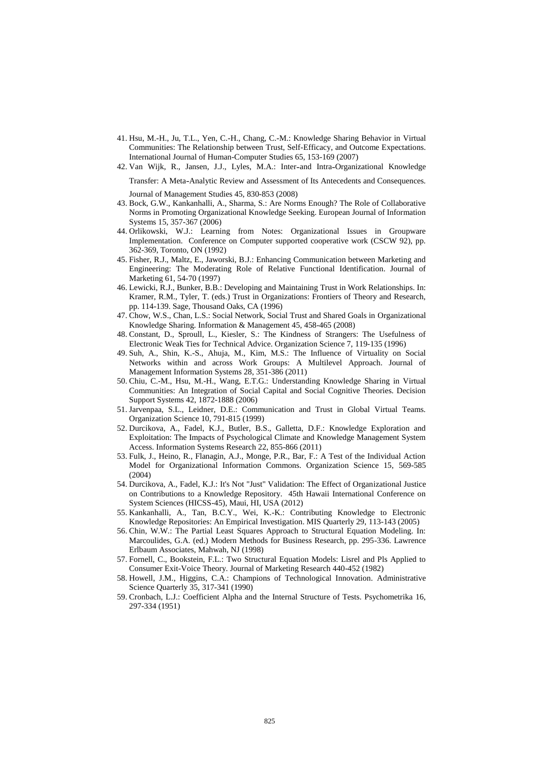- 41. Hsu, M.-H., Ju, T.L., Yen, C.-H., Chang, C.-M.: Knowledge Sharing Behavior in Virtual Communities: The Relationship between Trust, Self-Efficacy, and Outcome Expectations. International Journal of Human-Computer Studies 65, 153-169 (2007)
- 42. Van Wijk, R., Jansen, J.J., Lyles, M.A.: Inter and Intra Organizational Knowledge Transfer: A Meta Analytic Review and Assessment of Its Antecedents and Consequences.

Journal of Management Studies 45, 830-853 (2008)

- 43. Bock, G.W., Kankanhalli, A., Sharma, S.: Are Norms Enough? The Role of Collaborative Norms in Promoting Organizational Knowledge Seeking. European Journal of Information Systems 15, 357-367 (2006)
- 44. Orlikowski, W.J.: Learning from Notes: Organizational Issues in Groupware Implementation. Conference on Computer supported cooperative work (CSCW 92), pp. 362-369, Toronto, ON (1992)
- 45. Fisher, R.J., Maltz, E., Jaworski, B.J.: Enhancing Communication between Marketing and Engineering: The Moderating Role of Relative Functional Identification. Journal of Marketing 61, 54-70 (1997)
- 46. Lewicki, R.J., Bunker, B.B.: Developing and Maintaining Trust in Work Relationships. In: Kramer, R.M., Tyler, T. (eds.) Trust in Organizations: Frontiers of Theory and Research, pp. 114-139. Sage, Thousand Oaks, CA (1996)
- 47. Chow, W.S., Chan, L.S.: Social Network, Social Trust and Shared Goals in Organizational Knowledge Sharing. Information & Management 45, 458-465 (2008)
- 48. Constant, D., Sproull, L., Kiesler, S.: The Kindness of Strangers: The Usefulness of Electronic Weak Ties for Technical Advice. Organization Science 7, 119-135 (1996)
- 49. Suh, A., Shin, K.-S., Ahuja, M., Kim, M.S.: The Influence of Virtuality on Social Networks within and across Work Groups: A Multilevel Approach. Journal of Management Information Systems 28, 351-386 (2011)
- 50. Chiu, C.-M., Hsu, M.-H., Wang, E.T.G.: Understanding Knowledge Sharing in Virtual Communities: An Integration of Social Capital and Social Cognitive Theories. Decision Support Systems 42, 1872-1888 (2006)
- 51. Jarvenpaa, S.L., Leidner, D.E.: Communication and Trust in Global Virtual Teams. Organization Science 10, 791-815 (1999)
- 52. Durcikova, A., Fadel, K.J., Butler, B.S., Galletta, D.F.: Knowledge Exploration and Exploitation: The Impacts of Psychological Climate and Knowledge Management System Access. Information Systems Research 22, 855-866 (2011)
- 53. Fulk, J., Heino, R., Flanagin, A.J., Monge, P.R., Bar, F.: A Test of the Individual Action Model for Organizational Information Commons. Organization Science 15, 569-585 (2004)
- 54. Durcikova, A., Fadel, K.J.: It's Not "Just" Validation: The Effect of Organizational Justice on Contributions to a Knowledge Repository. 45th Hawaii International Conference on System Sciences (HICSS-45), Maui, HI, USA (2012)
- 55. Kankanhalli, A., Tan, B.C.Y., Wei, K.-K.: Contributing Knowledge to Electronic Knowledge Repositories: An Empirical Investigation. MIS Quarterly 29, 113-143 (2005)
- 56. Chin, W.W.: The Partial Least Squares Approach to Structural Equation Modeling. In: Marcoulides, G.A. (ed.) Modern Methods for Business Research, pp. 295-336. Lawrence Erlbaum Associates, Mahwah, NJ (1998)
- 57. Fornell, C., Bookstein, F.L.: Two Structural Equation Models: Lisrel and Pls Applied to Consumer Exit-Voice Theory. Journal of Marketing Research 440-452 (1982)
- 58. Howell, J.M., Higgins, C.A.: Champions of Technological Innovation. Administrative Science Quarterly 35, 317-341 (1990)
- 59. Cronbach, L.J.: Coefficient Alpha and the Internal Structure of Tests. Psychometrika 16, 297-334 (1951)